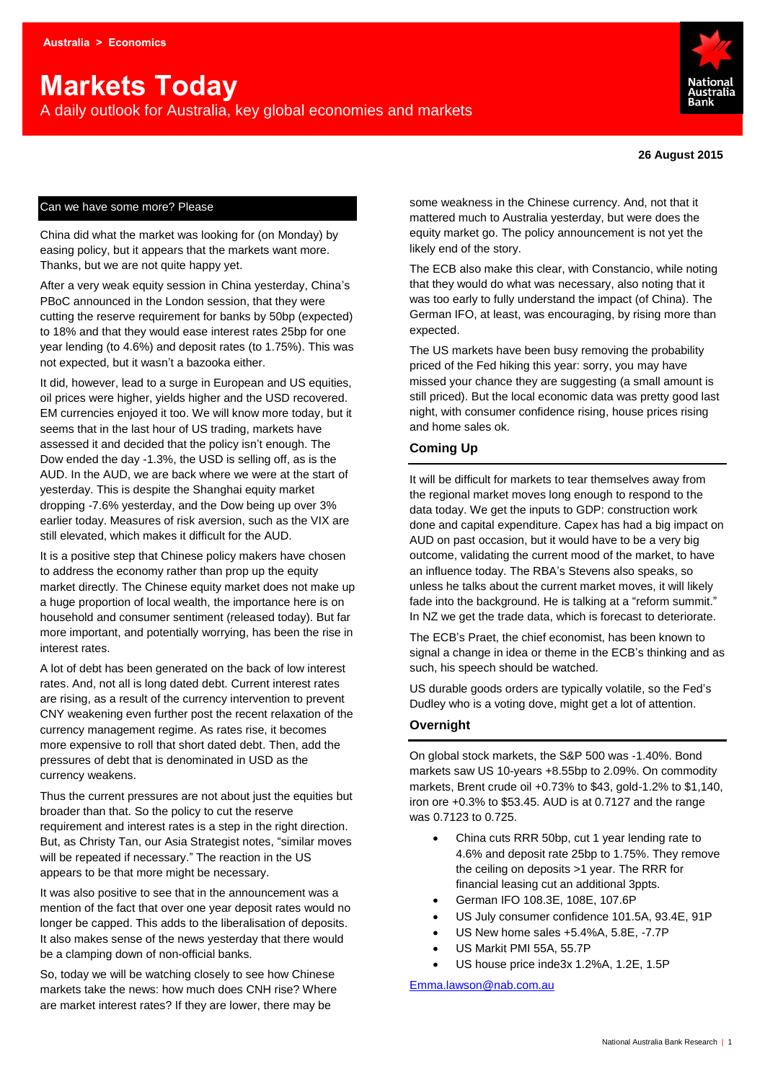# **Markets Today**

A daily outlook for Australia, key global economies and markets



#### **26 August 2015**

## Can we have some more? Please

China did what the market was looking for (on Monday) by easing policy, but it appears that the markets want more. Thanks, but we are not quite happy yet.

After a very weak equity session in China yesterday, China's PBoC announced in the London session, that they were cutting the reserve requirement for banks by 50bp (expected) to 18% and that they would ease interest rates 25bp for one year lending (to 4.6%) and deposit rates (to 1.75%). This was not expected, but it wasn't a bazooka either.

It did, however, lead to a surge in European and US equities, oil prices were higher, yields higher and the USD recovered. EM currencies enjoyed it too. We will know more today, but it seems that in the last hour of US trading, markets have assessed it and decided that the policy isn't enough. The Dow ended the day -1.3%, the USD is selling off, as is the AUD. In the AUD, we are back where we were at the start of yesterday. This is despite the Shanghai equity market dropping -7.6% yesterday, and the Dow being up over 3% earlier today. Measures of risk aversion, such as the VIX are still elevated, which makes it difficult for the AUD.

It is a positive step that Chinese policy makers have chosen to address the economy rather than prop up the equity market directly. The Chinese equity market does not make up a huge proportion of local wealth, the importance here is on household and consumer sentiment (released today). But far more important, and potentially worrying, has been the rise in interest rates.

A lot of debt has been generated on the back of low interest rates. And, not all is long dated debt. Current interest rates are rising, as a result of the currency intervention to prevent CNY weakening even further post the recent relaxation of the currency management regime. As rates rise, it becomes more expensive to roll that short dated debt. Then, add the pressures of debt that is denominated in USD as the currency weakens.

Thus the current pressures are not about just the equities but broader than that. So the policy to cut the reserve requirement and interest rates is a step in the right direction. But, as Christy Tan, our Asia Strategist notes, "similar moves will be repeated if necessary." The reaction in the US appears to be that more might be necessary.

It was also positive to see that in the announcement was a mention of the fact that over one year deposit rates would no longer be capped. This adds to the liberalisation of deposits. It also makes sense of the news yesterday that there would be a clamping down of non-official banks.

So, today we will be watching closely to see how Chinese markets take the news: how much does CNH rise? Where are market interest rates? If they are lower, there may be

some weakness in the Chinese currency. And, not that it mattered much to Australia yesterday, but were does the equity market go. The policy announcement is not yet the likely end of the story.

The ECB also make this clear, with Constancio, while noting that they would do what was necessary, also noting that it was too early to fully understand the impact (of China). The German IFO, at least, was encouraging, by rising more than expected.

The US markets have been busy removing the probability priced of the Fed hiking this year: sorry, you may have missed your chance they are suggesting (a small amount is still priced). But the local economic data was pretty good last night, with consumer confidence rising, house prices rising and home sales ok.

# **Coming Up**

It will be difficult for markets to tear themselves away from the regional market moves long enough to respond to the data today. We get the inputs to GDP: construction work done and capital expenditure. Capex has had a big impact on AUD on past occasion, but it would have to be a very big outcome, validating the current mood of the market, to have an influence today. The RBA's Stevens also speaks, so unless he talks about the current market moves, it will likely fade into the background. He is talking at a "reform summit." In NZ we get the trade data, which is forecast to deteriorate.

The ECB's Praet, the chief economist, has been known to signal a change in idea or theme in the ECB's thinking and as such, his speech should be watched.

US durable goods orders are typically volatile, so the Fed's Dudley who is a voting dove, might get a lot of attention.

# **Overnight**

On global stock markets, the S&P 500 was -1.40%. Bond markets saw US 10-years +8.55bp to 2.09%. On commodity markets, Brent crude oil +0.73% to \$43, gold-1.2% to \$1,140, iron ore +0.3% to \$53.45. AUD is at 0.7127 and the range was 0.7123 to 0.725.

- China cuts RRR 50bp, cut 1 year lending rate to 4.6% and deposit rate 25bp to 1.75%. They remove the ceiling on deposits >1 year. The RRR for financial leasing cut an additional 3ppts.
- German IFO 108.3E, 108E, 107.6P
- US July consumer confidence 101.5A, 93.4E, 91P
- US New home sales +5.4%A, 5.8E, -7.7P
- US Markit PMI 55A, 55.7P
- US house price inde3x 1.2%A, 1.2E, 1.5P

[Emma.lawson@nab.com.au](mailto:Emma.lawson@nab.com.au)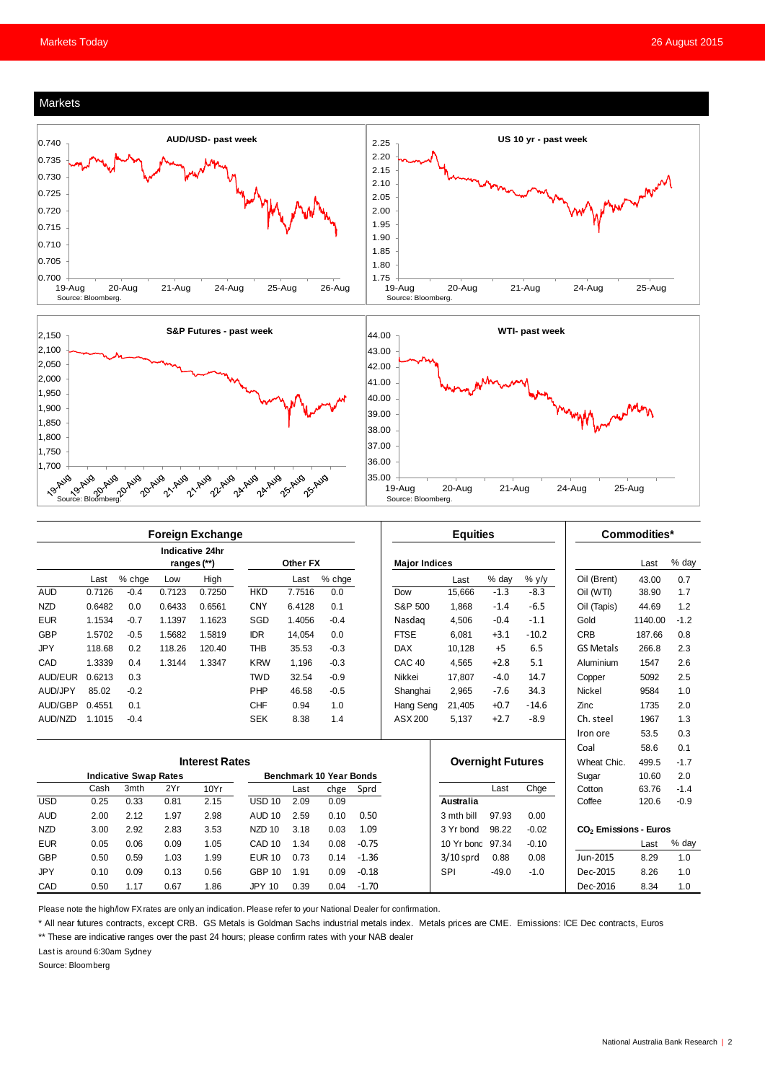#### Markets





|                              | <b>Foreign Exchange</b> |        |        |                                |                                |          |        | <b>Equities</b> |                      |                               |         | Commodities*                      |                  |         |        |
|------------------------------|-------------------------|--------|--------|--------------------------------|--------------------------------|----------|--------|-----------------|----------------------|-------------------------------|---------|-----------------------------------|------------------|---------|--------|
|                              |                         |        |        | Indicative 24hr<br>ranges (**) |                                | Other FX |        |                 | <b>Major Indices</b> |                               |         |                                   |                  | Last    | % day  |
|                              | Last                    | % chge | Low    | High                           |                                | Last     | % chge |                 |                      | Last                          | % day   | $%$ y/y                           | Oil (Brent)      | 43.00   | 0.7    |
| <b>AUD</b>                   | 0.7126                  | $-0.4$ | 0.7123 | 0.7250                         | <b>HKD</b>                     | 7.7516   | 0.0    |                 | Dow                  | 15.666                        | $-1.3$  | $-8.3$                            | Oil (WTI)        | 38.90   | 1.7    |
| <b>NZD</b>                   | 0.6482                  | 0.0    | 0.6433 | 0.6561                         | <b>CNY</b>                     | 6.4128   | 0.1    |                 | S&P 500              | 1,868                         | $-1.4$  | $-6.5$                            | Oil (Tapis)      | 44.69   | 1.2    |
| <b>EUR</b>                   | 1.1534                  | $-0.7$ | 1.1397 | 1.1623                         | SGD                            | 1.4056   | $-0.4$ |                 | Nasdag               | 4,506                         | $-0.4$  | $-1.1$                            | Gold             | 1140.00 | $-1.2$ |
| <b>GBP</b>                   | 1.5702                  | $-0.5$ | 1.5682 | 1.5819                         | <b>IDR</b>                     | 14,054   | 0.0    |                 | <b>FTSE</b>          | 6.081                         | $+3.1$  | $-10.2$                           | <b>CRB</b>       | 187.66  | 0.8    |
| <b>JPY</b>                   | 118.68                  | 0.2    | 118.26 | 120.40                         | <b>THB</b>                     | 35.53    | $-0.3$ |                 | <b>DAX</b>           | 10,128                        | $+5$    | 6.5                               | <b>GS Metals</b> | 266.8   | 2.3    |
| CAD                          | 1.3339                  | 0.4    | 1.3144 | 1.3347                         | <b>KRW</b>                     | 1.196    | $-0.3$ |                 | CAC <sub>40</sub>    | 4.565                         | $+2.8$  | 5.1                               | Aluminium        | 1547    | 2.6    |
| AUD/EUR                      | 0.6213                  | 0.3    |        |                                | <b>TWD</b>                     | 32.54    | $-0.9$ |                 | Nikkei               | 17,807                        | $-4.0$  | 14.7                              | Copper           | 5092    | 2.5    |
| AUD/JPY                      | 85.02                   | $-0.2$ |        |                                | PHP                            | 46.58    | $-0.5$ |                 | Shanghai             | 2,965                         | $-7.6$  | 34.3                              | <b>Nickel</b>    | 9584    | 1.0    |
| AUD/GBP                      | 0.4551                  | 0.1    |        |                                | <b>CHF</b>                     | 0.94     | 1.0    |                 | Hang Seng            | 21,405                        | $+0.7$  | $-14.6$                           | Zinc             | 1735    | 2.0    |
| AUD/NZD                      | 1.1015                  | $-0.4$ |        |                                | <b>SEK</b>                     | 8.38     | 1.4    |                 | ASX 200              | 5,137                         | $+2.7$  | $-8.9$                            | Ch. steel        | 1967    | 1.3    |
|                              |                         |        |        |                                |                                |          |        |                 |                      |                               |         |                                   | Iron ore         | 53.5    | 0.3    |
|                              |                         |        |        |                                |                                |          |        |                 |                      |                               |         |                                   | Coal             | 58.6    | 0.1    |
| <b>Interest Rates</b>        |                         |        |        |                                |                                |          |        |                 |                      | <b>Overnight Futures</b>      |         |                                   | Wheat Chic.      | 499.5   | $-1.7$ |
| <b>Indicative Swap Rates</b> |                         |        |        |                                | <b>Benchmark 10 Year Bonds</b> |          |        |                 |                      |                               |         | Sugar                             | 10.60            | 2.0     |        |
|                              | Cash                    | 3mth   | 2Yr    | 10Yr                           |                                | Last     | chge   | Sprd            |                      |                               | Last    | Chge                              | Cotton           | 63.76   | $-1.4$ |
| <b>USD</b>                   | 0.25                    | 0.33   | 0.81   | 2.15                           | <b>USD 10</b>                  | 2.09     | 0.09   |                 |                      | Australia                     |         |                                   | Coffee           | 120.6   | $-0.9$ |
| <b>AUD</b>                   | 2.00                    | 2.12   | 1.97   | 2.98                           | <b>AUD 10</b>                  | 2.59     | 0.10   | 0.50            |                      | 3 mth bill                    | 97.93   | 0.00                              |                  |         |        |
| <b>NZD</b>                   | 3.00                    | 2.92   | 2.83   | 3.53                           | NZD <sub>10</sub>              | 3.18     | 0.03   | 1.09            |                      | 98.22<br>3 Yr bond<br>$-0.02$ |         | CO <sub>2</sub> Emissions - Euros |                  |         |        |
| <b>EUR</b>                   | 0.05                    | 0.06   | 0.09   | 1.05                           | CAD <sub>10</sub>              | 1.34     | 0.08   | $-0.75$         |                      | 10 Yr bond 97.34              |         | $-0.10$                           |                  | Last    | % day  |
| <b>GBP</b>                   | 0.50                    | 0.59   | 1.03   | 1.99                           | <b>EUR 10</b>                  | 0.73     | 0.14   | $-1.36$         |                      | $3/10$ sprd                   | 0.88    | 0.08                              | Jun-2015         | 8.29    | 1.0    |
| <b>JPY</b>                   | 0.10                    | 0.09   | 0.13   | 0.56                           | <b>GBP 10</b>                  | 1.91     | 0.09   | $-0.18$         |                      | <b>SPI</b>                    | $-49.0$ | $-1.0$                            | Dec-2015         | 8.26    | 1.0    |
| CAD                          | 0.50                    | 1.17   | 0.67   | 1.86                           | <b>JPY 10</b>                  | 0.39     | 0.04   | $-1.70$         |                      |                               |         |                                   | Dec-2016         | 8.34    | 1.0    |

Please note the high/low FX rates are only an indication. Please refer to your National Dealer for confirmation.

\* All near futures contracts, except CRB. GS Metals is Goldman Sachs industrial metals index. Metals prices are CME. Emissions: ICE Dec contracts, Euros

\*\* These are indicative ranges over the past 24 hours; please confirm rates with your NAB dealer

Last is around 6:30am Sydney

Source: Bloomberg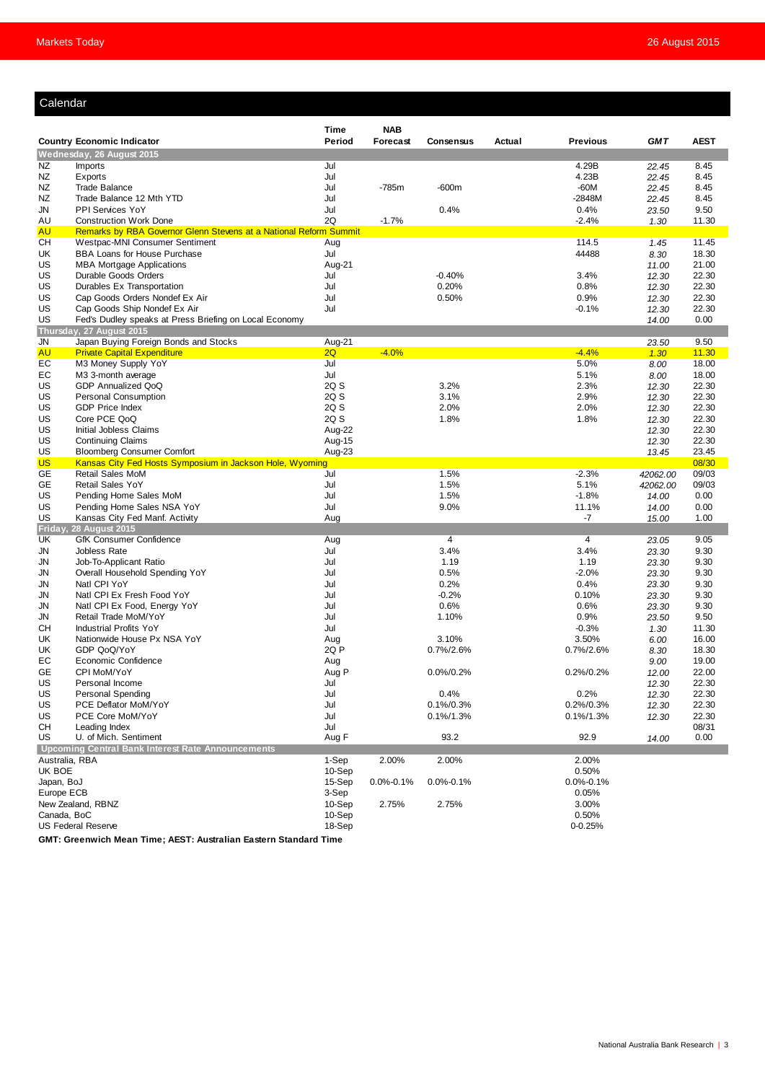# Calendar

|                           |                                                                                                     | Time             | <b>NAB</b>      |                  |        |                 |                      |                |
|---------------------------|-----------------------------------------------------------------------------------------------------|------------------|-----------------|------------------|--------|-----------------|----------------------|----------------|
|                           | <b>Country Economic Indicator</b>                                                                   | Period           | Forecast        | <b>Consensus</b> | Actual | <b>Previous</b> | <b>GMT</b>           | <b>AEST</b>    |
|                           | Wednesday, 26 August 2015                                                                           |                  |                 |                  |        |                 |                      |                |
| NZ                        | <b>Imports</b>                                                                                      | Jul              |                 |                  |        | 4.29B           | 22.45                | 8.45           |
| NZ                        | Exports                                                                                             | Jul              |                 |                  |        | 4.23B           | 22.45                | 8.45           |
| NZ                        | <b>Trade Balance</b>                                                                                | Jul              | $-785m$         | $-600m$          |        | $-60M$          | 22.45                | 8.45           |
| NZ                        | Trade Balance 12 Mth YTD                                                                            | Jul              |                 |                  |        | $-2848M$        | 22.45                | 8.45           |
| JN                        | PPI Services YoY                                                                                    | Jul              |                 | 0.4%             |        | 0.4%            | 23.50                | 9.50           |
| AU<br><b>AU</b>           | <b>Construction Work Done</b>                                                                       | 2Q               | $-1.7%$         |                  |        | $-2.4%$         | 1.30                 | 11.30          |
| CН                        | Remarks by RBA Governor Glenn Stevens at a National Reform Summit<br>Westpac-MNI Consumer Sentiment | Aug              |                 |                  |        | 114.5           | 1.45                 | 11.45          |
| UK                        | <b>BBA Loans for House Purchase</b>                                                                 | Jul              |                 |                  |        | 44488           | 8.30                 | 18.30          |
| US                        | <b>MBA Mortgage Applications</b>                                                                    | Aug-21           |                 |                  |        |                 | 11.00                | 21.00          |
| US                        | Durable Goods Orders                                                                                | Jul              |                 | $-0.40%$         |        | 3.4%            | 12.30                | 22.30          |
| US                        | Durables Ex Transportation                                                                          | Jul              |                 | 0.20%            |        | 0.8%            | 12.30                | 22.30          |
| US                        | Cap Goods Orders Nondef Ex Air                                                                      | Jul              |                 | 0.50%            |        | 0.9%            | 12.30                | 22.30          |
| US                        | Cap Goods Ship Nondef Ex Air                                                                        | Jul              |                 |                  |        | $-0.1%$         | 12.30                | 22.30          |
| US                        | Fed's Dudley speaks at Press Briefing on Local Economy                                              |                  |                 |                  |        |                 | 14.00                | 0.00           |
|                           | Thursday, 27 August 2015                                                                            |                  |                 |                  |        |                 |                      |                |
| JN                        | Japan Buying Foreign Bonds and Stocks                                                               | Aug-21           |                 |                  |        |                 | 23.50                | 9.50           |
| <b>AU</b>                 | <b>Private Capital Expenditure</b>                                                                  | 2Q               | $-4.0%$         |                  |        | $-4.4%$         | 1.30                 | 11.30          |
| EC                        | M3 Money Supply YoY                                                                                 | Jul              |                 |                  |        | 5.0%            | 8.00                 | 18.00          |
| EC                        | M3 3-month average                                                                                  | Jul              |                 |                  |        | 5.1%            | 8.00                 | 18.00          |
| US                        | GDP Annualized QoQ                                                                                  | 2Q S             |                 | 3.2%             |        | 2.3%            | 12.30                | 22.30          |
| US                        | <b>Personal Consumption</b>                                                                         | 2Q S             |                 | 3.1%             |        | 2.9%            | 12.30                | 22.30          |
| US                        | <b>GDP Price Index</b>                                                                              | 2Q S             |                 | 2.0%             |        | 2.0%            | 12.30                | 22.30          |
| US                        | Core PCE QoQ                                                                                        | 2Q S             |                 | 1.8%             |        | 1.8%            | 12.30                | 22.30          |
| US                        | Initial Jobless Claims                                                                              | Aug-22           |                 |                  |        |                 | 12.30                | 22.30          |
| US                        | <b>Continuing Claims</b>                                                                            | Aug-15           |                 |                  |        |                 | 12.30                | 22.30          |
| US                        | <b>Bloomberg Consumer Comfort</b>                                                                   | Aug-23           |                 |                  |        |                 | 13.45                | 23.45          |
| <b>US</b><br>GЕ           | Kansas City Fed Hosts Symposium in Jackson Hole, Wyoming<br><b>Retail Sales MoM</b>                 | Jul              |                 | 1.5%             |        | $-2.3%$         |                      | 08/30<br>09/03 |
| GE                        | <b>Retail Sales YoY</b>                                                                             | Jul              |                 | 1.5%             |        | 5.1%            | 42062.00<br>42062.00 | 09/03          |
| US                        | Pending Home Sales MoM                                                                              | Jul              |                 | 1.5%             |        | $-1.8%$         | 14.00                | 0.00           |
| US                        | Pending Home Sales NSA YoY                                                                          | Jul              |                 | 9.0%             |        | 11.1%           | 14.00                | 0.00           |
| US                        | Kansas City Fed Manf. Activity                                                                      | Aug              |                 |                  |        | -7              | 15.00                | 1.00           |
| Friday                    | <b>28 August 2015</b>                                                                               |                  |                 |                  |        |                 |                      |                |
| UK                        | <b>GfK Consumer Confidence</b>                                                                      | Aug              |                 | 4                |        | 4               | 23.05                | 9.05           |
| JN                        | Jobless Rate                                                                                        | Jul              |                 | 3.4%             |        | 3.4%            | 23.30                | 9.30           |
| JN                        | Job-To-Applicant Ratio                                                                              | Jul              |                 | 1.19             |        | 1.19            | 23.30                | 9.30           |
| JN                        | Overall Household Spending YoY                                                                      | Jul              |                 | 0.5%             |        | $-2.0%$         | 23.30                | 9.30           |
| JN                        | Natl CPI YoY                                                                                        | Jul              |                 | 0.2%             |        | 0.4%            | 23.30                | 9.30           |
| JN                        | Natl CPI Ex Fresh Food YoY                                                                          | Jul              |                 | $-0.2%$          |        | 0.10%           | 23.30                | 9.30           |
| JN                        | Natl CPI Ex Food, Energy YoY                                                                        | Jul              |                 | 0.6%             |        | 0.6%            | 23.30                | 9.30           |
| JN                        | Retail Trade MoM/YoY                                                                                | Jul              |                 | 1.10%            |        | 0.9%            | 23.50                | 9.50           |
| CН                        | <b>Industrial Profits YoY</b>                                                                       | Jul              |                 |                  |        | $-0.3%$         | 1.30                 | 11.30          |
| UK                        | Nationwide House Px NSA YoY                                                                         | Aug              |                 | 3.10%            |        | 3.50%           | 6.00                 | 16.00          |
| UK                        | GDP QoQ/YoY                                                                                         | 2Q P             |                 | $0.7\%/2.6\%$    |        | 0.7%/2.6%       | 8.30                 | 18.30          |
| EС                        | Economic Confidence                                                                                 | Aug              |                 |                  |        | 0.2%/0.2%       | 9.00                 | 19.00          |
| GE<br>US                  | CPI MoM/YoY<br>Personal Income                                                                      | Aug P<br>Jul     |                 | 0.0%/0.2%        |        |                 | 12.00<br>12.30       | 22.00<br>22.30 |
| US                        | Personal Spending                                                                                   | Jul              |                 | 0.4%             |        | 0.2%            |                      | 22.30          |
| US                        | PCE Deflator MoM/YoY                                                                                | Jul              |                 | $0.1\%/0.3\%$    |        | 0.2%/0.3%       | 12.30<br>12.30       | 22.30          |
| US                        | PCE Core MoM/YoY                                                                                    | Jul              |                 | $0.1\%/1.3\%$    |        | $0.1\%/1.3\%$   | 12.30                | 22.30          |
| <b>CH</b>                 | Leading Index                                                                                       | Jul              |                 |                  |        |                 |                      | 08/31          |
| US                        | U. of Mich. Sentiment                                                                               | Aug F            |                 | 93.2             |        | 92.9            | 14.00                | 0.00           |
|                           | Upcoming Central Bank Interest Rate Announcements                                                   |                  |                 |                  |        |                 |                      |                |
| Australia, RBA            |                                                                                                     | 1-Sep            | 2.00%           | 2.00%            |        | 2.00%           |                      |                |
| UK BOE                    |                                                                                                     | 10-Sep           |                 |                  |        | 0.50%           |                      |                |
| Japan, BoJ                |                                                                                                     |                  | $0.0\% - 0.1\%$ | $0.0\% - 0.1\%$  |        | $0.0\% - 0.1\%$ |                      |                |
| Europe ECB                |                                                                                                     | 3-Sep            |                 |                  |        | 0.05%           |                      |                |
| New Zealand, RBNZ         |                                                                                                     | 10-Sep           | 2.75%           | 2.75%            |        | 3.00%           |                      |                |
| Canada, BoC               |                                                                                                     | 10-Sep<br>18-Sep |                 |                  |        | 0.50%           |                      |                |
| <b>US Federal Reserve</b> |                                                                                                     |                  |                 |                  |        | $0 - 0.25%$     |                      |                |

**GMT: Greenwich Mean Time; AEST: Australian Eastern Standard Time**